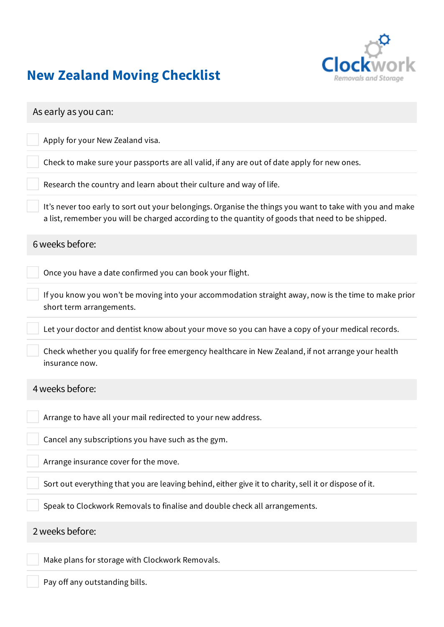

## New Zealand Moving Checklist

| As early as you can:                                                                                                                                                                                         |
|--------------------------------------------------------------------------------------------------------------------------------------------------------------------------------------------------------------|
| Apply for your New Zealand visa.                                                                                                                                                                             |
| Check to make sure your passports are all valid, if any are out of date apply for new ones.                                                                                                                  |
| Research the country and learn about their culture and way of life.                                                                                                                                          |
| It's never too early to sort out your belongings. Organise the things you want to take with you and make<br>a list, remember you will be charged according to the quantity of goods that need to be shipped. |
| 6 weeks before:                                                                                                                                                                                              |
| Once you have a date confirmed you can book your flight.                                                                                                                                                     |
| If you know you won't be moving into your accommodation straight away, now is the time to make prior<br>short term arrangements.                                                                             |
| Let your doctor and dentist know about your move so you can have a copy of your medical records.                                                                                                             |
| Check whether you qualify for free emergency healthcare in New Zealand, if not arrange your health<br>insurance now.                                                                                         |
| 4 weeks before:                                                                                                                                                                                              |
| Arrange to have all your mail redirected to your new address.                                                                                                                                                |
| Cancel any subscriptions you have such as the gym.                                                                                                                                                           |
| Arrange insurance cover for the move.                                                                                                                                                                        |
| Sort out everything that you are leaving behind, either give it to charity, sell it or dispose of it.                                                                                                        |
| Speak to Clockwork Removals to finalise and double check all arrangements.                                                                                                                                   |
| 2 weeks before:                                                                                                                                                                                              |
| Make plans for storage with Clockwork Removals.                                                                                                                                                              |
| Pay off any outstanding bills.                                                                                                                                                                               |